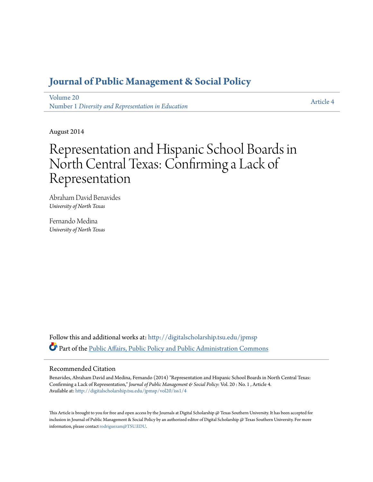# **[Journal of Public Management & Social Policy](http://digitalscholarship.tsu.edu/jpmsp?utm_source=digitalscholarship.tsu.edu%2Fjpmsp%2Fvol20%2Fiss1%2F4&utm_medium=PDF&utm_campaign=PDFCoverPages)**

[Volume 20](http://digitalscholarship.tsu.edu/jpmsp/vol20?utm_source=digitalscholarship.tsu.edu%2Fjpmsp%2Fvol20%2Fiss1%2F4&utm_medium=PDF&utm_campaign=PDFCoverPages) Number 1 *[Diversity and Representation in Education](http://digitalscholarship.tsu.edu/jpmsp/vol20/iss1?utm_source=digitalscholarship.tsu.edu%2Fjpmsp%2Fvol20%2Fiss1%2F4&utm_medium=PDF&utm_campaign=PDFCoverPages)*

[Article 4](http://digitalscholarship.tsu.edu/jpmsp/vol20/iss1/4?utm_source=digitalscholarship.tsu.edu%2Fjpmsp%2Fvol20%2Fiss1%2F4&utm_medium=PDF&utm_campaign=PDFCoverPages)

August 2014

# Representation and Hispanic School Boards in North Central Texas: Confirming a Lack of Representation

Abraham David Benavides *University of North Texas*

Fernando Medina *University of North Texas*

Follow this and additional works at: [http://digitalscholarship.tsu.edu/jpmsp](http://digitalscholarship.tsu.edu/jpmsp?utm_source=digitalscholarship.tsu.edu%2Fjpmsp%2Fvol20%2Fiss1%2F4&utm_medium=PDF&utm_campaign=PDFCoverPages) Part of the [Public Affairs, Public Policy and Public Administration Commons](http://network.bepress.com/hgg/discipline/393?utm_source=digitalscholarship.tsu.edu%2Fjpmsp%2Fvol20%2Fiss1%2F4&utm_medium=PDF&utm_campaign=PDFCoverPages)

# Recommended Citation

Benavides, Abraham David and Medina, Fernando (2014) "Representation and Hispanic School Boards in North Central Texas: Confirming a Lack of Representation," *Journal of Public Management & Social Policy*: Vol. 20 : No. 1 , Article 4. Available at: [http://digitalscholarship.tsu.edu/jpmsp/vol20/iss1/4](http://digitalscholarship.tsu.edu/jpmsp/vol20/iss1/4?utm_source=digitalscholarship.tsu.edu%2Fjpmsp%2Fvol20%2Fiss1%2F4&utm_medium=PDF&utm_campaign=PDFCoverPages)

This Article is brought to you for free and open access by the Journals at Digital Scholarship @ Texas Southern University. It has been accepted for inclusion in Journal of Public Management & Social Policy by an authorized editor of Digital Scholarship @ Texas Southern University. For more information, please contact [rodriguezam@TSU.EDU.](mailto:rodriguezam@TSU.EDU)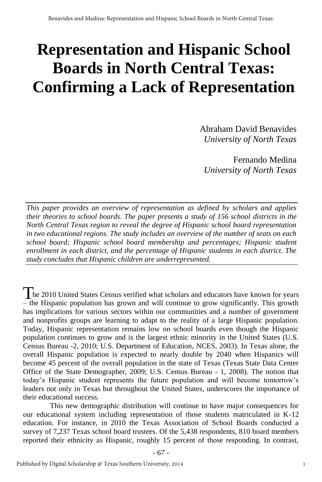# **Representation and Hispanic School Boards in North Central Texas: Confirming a Lack of Representation**

Abraham David Benavides *University of North Texas* 

Fernando Medina *University of North Texas* 

*This paper provides an overview of representation as defined by scholars and applies their theories to school boards. The paper presents a study of 156 school districts in the North Central Texas region to reveal the degree of Hispanic school board representation in two educational regions. The study includes an overview of the number of seats on each school board; Hispanic school board membership and percentages; Hispanic student enrollment in each district, and the percentage of Hispanic students in each district. The study concludes that Hispanic children are underrepresented.* 

The 2010 United States Census verified what scholars and educators have known for years – the Hispanic population has grown and will continue to grow significantly. This growth has implications for various sectors within our communities and a number of government and nonprofits groups are learning to adapt to the reality of a large Hispanic population. Today, Hispanic representation remains low on school boards even though the Hispanic population continues to grow and is the largest ethnic minority in the United States (U.S. Census Bureau -2, 2010; U.S. Department of Education, NCES, 2003). In Texas alone, the overall Hispanic population is expected to nearly double by 2040 when Hispanics will become 45 percent of the overall population in the state of Texas (Texas State Data Center Office of the State Demographer, 2009; U.S. Census Bureau - 1, 2008). The notion that today's Hispanic student represents the future population and will become tomorrow's leaders not only in Texas but throughout the United States, underscores the importance of their educational success.

This new demographic distribution will continue to have major consequences for our educational system including representation of those students matriculated in K-12 education. For instance, in 2010 the Texas Association of School Boards conducted a survey of 7,237 Texas school board trustees. Of the 5,438 respondents, 810 board members reported their ethnicity as Hispanic, roughly 15 percent of those responding. In contrast,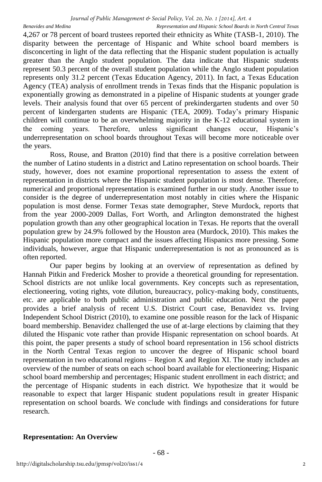*Journal of Public Management & Social Policy, Vol. 20, No. 1 [2014], Art. 4*

*Benavides and Medina Representation and Hispanic School Boards in North Central Texas* 

4,267 or 78 percent of board trustees reported their ethnicity as White (TASB-1, 2010). The disparity between the percentage of Hispanic and White school board members is disconcerting in light of the data reflecting that the Hispanic student population is actually greater than the Anglo student population. The data indicate that Hispanic students represent 50.3 percent of the overall student population while the Anglo student population represents only 31.2 percent (Texas Education Agency, 2011). In fact, a Texas Education Agency (TEA) analysis of enrollment trends in Texas finds that the Hispanic population is exponentially growing as demonstrated in a pipeline of Hispanic students at younger grade levels. Their analysis found that over 65 percent of prekindergarten students and over 50 percent of kindergarten students are Hispanic (TEA, 2009). Today's primary Hispanic children will continue to be an overwhelming majority in the K-12 educational system in the coming years. Therefore, unless significant changes occur, Hispanic's underrepresentation on school boards throughout Texas will become more noticeable over the years.

Ross, Rouse, and Bratton (2010) find that there is a positive correlation between the number of Latino students in a district and Latino representation on school boards. Their study, however, does not examine proportional representation to assess the extent of representation in districts where the Hispanic student population is most dense. Therefore, numerical and proportional representation is examined further in our study. Another issue to consider is the degree of underrepresentation most notably in cities where the Hispanic population is most dense. Former Texas state demographer, Steve Murdock, reports that from the year 2000-2009 Dallas, Fort Worth, and Arlington demonstrated the highest population growth than any other geographical location in Texas. He reports that the overall population grew by 24.9% followed by the Houston area (Murdock, 2010). This makes the Hispanic population more compact and the issues affecting Hispanics more pressing. Some individuals, however, argue that Hispanic underrepresentation is not as pronounced as is often reported.

Our paper begins by looking at an overview of representation as defined by Hannah Pitkin and Frederick Mosher to provide a theoretical grounding for representation. School districts are not unlike local governments. Key concepts such as representation, electioneering, voting rights, vote dilution, bureaucracy, policy-making body, constituents, etc. are applicable to both public administration and public education. Next the paper provides a brief analysis of recent U.S. District Court case, Benavidez vs. Irving Independent School District (2010), to examine one possible reason for the lack of Hispanic board membership. Benavidez challenged the use of at-large elections by claiming that they diluted the Hispanic vote rather than provide Hispanic representation on school boards. At this point, the paper presents a study of school board representation in 156 school districts in the North Central Texas region to uncover the degree of Hispanic school board representation in two educational regions  $-$  Region X and Region XI. The study includes an overview of the number of seats on each school board available for electioneering; Hispanic school board membership and percentages; Hispanic student enrollment in each district; and the percentage of Hispanic students in each district. We hypothesize that it would be reasonable to expect that larger Hispanic student populations result in greater Hispanic representation on school boards. We conclude with findings and considerations for future research.

## **Representation: An Overview**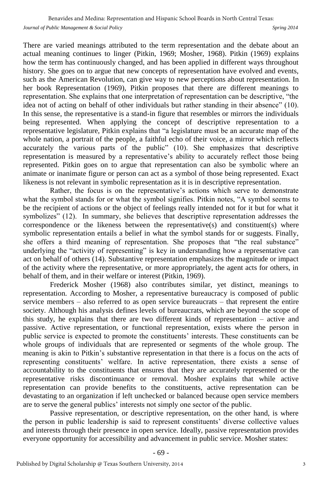There are varied meanings attributed to the term representation and the debate about an actual meaning continues to linger (Pitkin, 1969; Mosher, 1968). Pitkin (1969) explains how the term has continuously changed, and has been applied in different ways throughout history. She goes on to argue that new concepts of representation have evolved and events, such as the American Revolution, can give way to new perceptions about representation. In her book Representation (1969), Pitkin proposes that there are different meanings to representation. She explains that one interpretation of representation can be descriptive, "the idea not of acting on behalf of other individuals but rather standing in their absence" (10). In this sense, the representative is a stand-in figure that resembles or mirrors the individuals being represented. When applying the concept of descriptive representation to a representative legislature, Pitkin explains that "a legislature must be an accurate map of the whole nation, a portrait of the people, a faithful echo of their voice, a mirror which reflects accurately the various parts of the public" (10). She emphasizes that descriptive representation is measured by a representative's ability to accurately reflect those being represented. Pitkin goes on to argue that representation can also be symbolic where an animate or inanimate figure or person can act as a symbol of those being represented. Exact likeness is not relevant in symbolic representation as it is in descriptive representation.

Rather, the focus is on the representative's actions which serve to demonstrate what the symbol stands for or what the symbol signifies. Pitkin notes, "A symbol seems to be the recipient of actions or the object of feelings really intended not for it but for what it symbolizes" (12). In summary, she believes that descriptive representation addresses the correspondence or the likeness between the representative(s) and constituent(s) where symbolic representation entails a belief in what the symbol stands for or suggests. Finally, she offers a third meaning of representation. She proposes that "the real substance" underlying the "activity of representing" is key in understanding how a representative can act on behalf of others (14). Substantive representation emphasizes the magnitude or impact of the activity where the representative, or more appropriately, the agent acts for others, in behalf of them, and in their welfare or interest (Pitkin, 1969).

Frederick Mosher (1968) also contributes similar, yet distinct, meanings to representation. According to Mosher, a representative bureaucracy is composed of public service members – also referred to as open service bureaucrats – that represent the entire society. Although his analysis defines levels of bureaucrats, which are beyond the scope of this study, he explains that there are two different kinds of representation – active and passive. Active representation, or functional representation, exists where the person in public service is expected to promote the constituents' interests. These constituents can be whole groups of individuals that are represented or segments of the whole group. The meaning is akin to Pitkin's substantive representation in that there is a focus on the acts of representing constituents' welfare. In active representation, there exists a sense of accountability to the constituents that ensures that they are accurately represented or the representative risks discontinuance or removal. Mosher explains that while active representation can provide benefits to the constituents, active representation can be devastating to an organization if left unchecked or balanced because open service members are to serve the general publics' interests not simply one sector of the public.

Passive representation, or descriptive representation, on the other hand, is where the person in public leadership is said to represent constituents' diverse collective values and interests through their presence in open service. Ideally, passive representation provides everyone opportunity for accessibility and advancement in public service. Mosher states: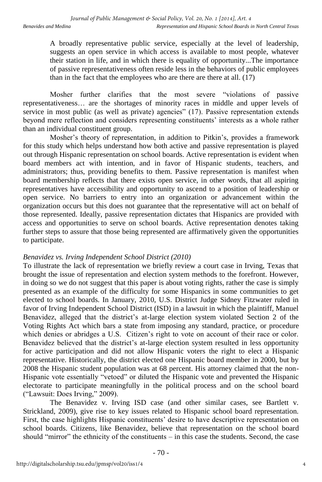A broadly representative public service, especially at the level of leadership, suggests an open service in which access is available to most people, whatever their station in life, and in which there is equality of opportunity...The importance of passive representativeness often reside less in the behaviors of public employees than in the fact that the employees who are there are there at all.  $(17)$ 

Mosher further clarifies that the most severe "violations of passive representativeness… are the shortages of minority races in middle and upper levels of service in most public (as well as private) agencies" (17). Passive representation extends beyond mere reflection and considers representing constituents' interests as a whole rather than an individual constituent group.

Mosher's theory of representation, in addition to Pitkin's, provides a framework for this study which helps understand how both active and passive representation is played out through Hispanic representation on school boards. Active representation is evident when board members act with intention, and in favor of Hispanic students, teachers, and administrators; thus, providing benefits to them. Passive representation is manifest when board membership reflects that there exists open service, in other words, that all aspiring representatives have accessibility and opportunity to ascend to a position of leadership or open service. No barriers to entry into an organization or advancement within the organization occurs but this does not guarantee that the representative will act on behalf of those represented. Ideally, passive representation dictates that Hispanics are provided with access and opportunities to serve on school boards. Active representation denotes taking further steps to assure that those being represented are affirmatively given the opportunities to participate.

# *Benavidez vs. Irving Independent School District (2010)*

To illustrate the lack of representation we briefly review a court case in Irving, Texas that brought the issue of representation and election system methods to the forefront. However, in doing so we do not suggest that this paper is about voting rights, rather the case is simply presented as an example of the difficulty for some Hispanics in some communities to get elected to school boards. In January, 2010, U.S. District Judge Sidney Fitzwater ruled in favor of Irving Independent School District (ISD) in a lawsuit in which the plaintiff, Manuel Benavidez, alleged that the district's at-large election system violated Section 2 of the Voting Rights Act which bars a state from imposing any standard, practice, or procedure which denies or abridges a U.S. Citizen's right to vote on account of their race or color. Benavidez believed that the district's at-large election system resulted in less opportunity for active participation and did not allow Hispanic voters the right to elect a Hispanic representative. Historically, the district elected one Hispanic board member in 2000, but by 2008 the Hispanic student population was at 68 percent. His attorney claimed that the non-Hispanic vote essentially "vetoed" or diluted the Hispanic vote and prevented the Hispanic electorate to participate meaningfully in the political process and on the school board ("Lawsuit: Does Irving," 2009).

The Benavidez v. Irving ISD case (and other similar cases, see Bartlett v. Strickland, 2009), give rise to key issues related to Hispanic school board representation. First, the case highlights Hispanic constituents' desire to have descriptive representation on school boards. Citizens, like Benavidez, believe that representation on the school board should "mirror" the ethnicity of the constituents – in this case the students. Second, the case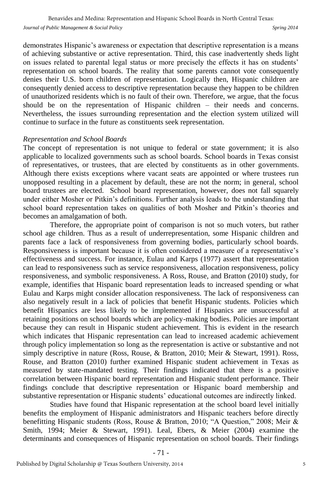demonstrates Hispanic's awareness or expectation that descriptive representation is a means of achieving substantive or active representation. Third, this case inadvertently sheds light on issues related to parental legal status or more precisely the effects it has on students' representation on school boards. The reality that some parents cannot vote consequently denies their U.S. born children of representation. Logically then, Hispanic children are consequently denied access to descriptive representation because they happen to be children of unauthorized residents which is no fault of their own. Therefore, we argue, that the focus should be on the representation of Hispanic children – their needs and concerns. Nevertheless, the issues surrounding representation and the election system utilized will continue to surface in the future as constituents seek representation.

## *Representation and School Boards*

The concept of representation is not unique to federal or state government; it is also applicable to localized governments such as school boards. School boards in Texas consist of representatives, or trustees, that are elected by constituents as in other governments. Although there exists exceptions where vacant seats are appointed or where trustees run unopposed resulting in a placement by default, these are not the norm; in general, school board trustees are elected. School board representation, however, does not fall squarely under either Mosher or Pitkin's definitions. Further analysis leads to the understanding that school board representation takes on qualities of both Mosher and Pitkin's theories and becomes an amalgamation of both.

Therefore, the appropriate point of comparison is not so much voters, but rather school age children. Thus as a result of underrepresentation, some Hispanic children and parents face a lack of responsiveness from governing bodies, particularly school boards. Responsiveness is important because it is often considered a measure of a representative's effectiveness and success. For instance, Eulau and Karps (1977) assert that representation can lead to responsiveness such as service responsiveness, allocation responsiveness, policy responsiveness, and symbolic responsiveness. A Ross, Rouse, and Bratton (2010) study, for example, identifies that Hispanic board representation leads to increased spending or what Eulau and Karps might consider allocation responsiveness. The lack of responsiveness can also negatively result in a lack of policies that benefit Hispanic students. Policies which benefit Hispanics are less likely to be implemented if Hispanics are unsuccessful at retaining positions on school boards which are policy-making bodies. Policies are important because they can result in Hispanic student achievement. This is evident in the research which indicates that Hispanic representation can lead to increased academic achievement through policy implementation so long as the representation is active or substantive and not simply descriptive in nature (Ross, Rouse, & Bratton, 2010; Meir & Stewart, 1991). Ross, Rouse, and Bratton (2010) further examined Hispanic student achievement in Texas as measured by state-mandated testing. Their findings indicated that there is a positive correlation between Hispanic board representation and Hispanic student performance. Their findings conclude that descriptive representation or Hispanic board membership and substantive representation or Hispanic students' educational outcomes are indirectly linked.

Studies have found that Hispanic representation at the school board level initially benefits the employment of Hispanic administrators and Hispanic teachers before directly benefitting Hispanic students (Ross, Rouse & Bratton, 2010; "A Question," 2008; Meir & Smith, 1994; Meier & Stewart, 1991). Leal, Ebers, & Meier (2004) examine the determinants and consequences of Hispanic representation on school boards. Their findings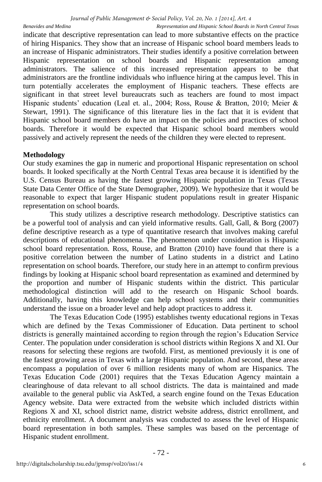indicate that descriptive representation can lead to more substantive effects on the practice of hiring Hispanics. They show that an increase of Hispanic school board members leads to an increase of Hispanic administrators. Their studies identify a positive correlation between Hispanic representation on school boards and Hispanic representation among administrators. The salience of this increased representation appears to be that administrators are the frontline individuals who influence hiring at the campus level. This in turn potentially accelerates the employment of Hispanic teachers. These effects are significant in that street level bureaucrats such as teachers are found to most impact Hispanic students' education (Leal et. al., 2004; Ross, Rouse & Bratton, 2010; Meier & Stewart, 1991). The significance of this literature lies in the fact that it is evident that Hispanic school board members do have an impact on the policies and practices of school boards. Therefore it would be expected that Hispanic school board members would passively and actively represent the needs of the children they were elected to represent.

# **Methodology**

Our study examines the gap in numeric and proportional Hispanic representation on school boards. It looked specifically at the North Central Texas area because it is identified by the U.S. Census Bureau as having the fastest growing Hispanic population in Texas (Texas State Data Center Office of the State Demographer, 2009). We hypothesize that it would be reasonable to expect that larger Hispanic student populations result in greater Hispanic representation on school boards.

This study utilizes a descriptive research methodology. Descriptive statistics can be a powerful tool of analysis and can yield informative results. Gall, Gall, & Borg (2007) define descriptive research as a type of quantitative research that involves making careful descriptions of educational phenomena. The phenomenon under consideration is Hispanic school board representation. Ross, Rouse, and Bratton (2010) have found that there is a positive correlation between the number of Latino students in a district and Latino representation on school boards. Therefore, our study here in an attempt to confirm previous findings by looking at Hispanic school board representation as examined and determined by the proportion and number of Hispanic students within the district. This particular methodological distinction will add to the research on Hispanic School boards. Additionally, having this knowledge can help school systems and their communities understand the issue on a broader level and help adopt practices to address it.

The Texas Education Code (1995) establishes twenty educational regions in Texas which are defined by the Texas Commissioner of Education. Data pertinent to school districts is generally maintained according to region through the region's Education Service Center. The population under consideration is school districts within Regions X and XI. Our reasons for selecting these regions are twofold. First, as mentioned previously it is one of the fastest growing areas in Texas with a large Hispanic population. And second, these areas encompass a population of over 6 million residents many of whom are Hispanics. The Texas Education Code (2001) requires that the Texas Education Agency maintain a clearinghouse of data relevant to all school districts. The data is maintained and made available to the general public via AskTed, a search engine found on the Texas Education Agency website. Data were extracted from the website which included districts within Regions X and XI, school district name, district website address, district enrollment, and ethnicity enrollment. A document analysis was conducted to assess the level of Hispanic board representation in both samples. These samples was based on the percentage of Hispanic student enrollment.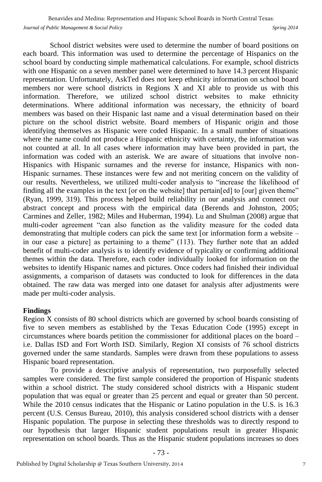School district websites were used to determine the number of board positions on each board. This information was used to determine the percentage of Hispanics on the school board by conducting simple mathematical calculations. For example, school districts with one Hispanic on a seven member panel were determined to have 14.3 percent Hispanic representation. Unfortunately, AskTed does not keep ethnicity information on school board members nor were school districts in Regions X and XI able to provide us with this information. Therefore, we utilized school district websites to make ethnicity determinations. Where additional information was necessary, the ethnicity of board members was based on their Hispanic last name and a visual determination based on their picture on the school district website. Board members of Hispanic origin and those identifying themselves as Hispanic were coded Hispanic. In a small number of situations where the name could not produce a Hispanic ethnicity with certainty, the information was not counted at all. In all cases where information may have been provided in part, the information was coded with an asterisk. We are aware of situations that involve non-Hispanics with Hispanic surnames and the reverse for instance, Hispanics with non-Hispanic surnames. These instances were few and not meriting concern on the validity of our results. Nevertheless, we utilized multi-coder analysis to "increase the likelihood of finding all the examples in the text [or on the website] that pertain[ed] to [our] given theme" (Ryan, 1999, 319). This process helped build reliability in our analysis and connect our abstract concept and process with the empirical data (Berends and Johnston, 2005; Carmines and Zeller, 1982; Miles and Huberman, 1994). Lu and Shulman (2008) argue that multi-coder agreement "can also function as the validity measure for the coded data demonstrating that multiple coders can pick the same text [or information form a website – in our case a picture] as pertaining to a theme" (113). They further note that an added benefit of multi-coder analysis is to identify evidence of typicality or confirming additional themes within the data. Therefore, each coder individually looked for information on the websites to identify Hispanic names and pictures. Once coders had finished their individual assignments, a comparison of datasets was conducted to look for differences in the data obtained. The raw data was merged into one dataset for analysis after adjustments were made per multi-coder analysis.

## **Findings**

Region X consists of 80 school districts which are governed by school boards consisting of five to seven members as established by the Texas Education Code (1995) except in circumstances where boards petition the commissioner for additional places on the board – i.e. Dallas ISD and Fort Worth ISD. Similarly, Region XI consists of 76 school districts governed under the same standards. Samples were drawn from these populations to assess Hispanic board representation.

To provide a descriptive analysis of representation, two purposefully selected samples were considered. The first sample considered the proportion of Hispanic students within a school district. The study considered school districts with a Hispanic student population that was equal or greater than 25 percent and equal or greater than 50 percent. While the 2010 census indicates that the Hispanic or Latino population in the U.S. is 16.3 percent (U.S. Census Bureau, 2010), this analysis considered school districts with a denser Hispanic population. The purpose in selecting these thresholds was to directly respond to our hypothesis that larger Hispanic student populations result in greater Hispanic representation on school boards. Thus as the Hispanic student populations increases so does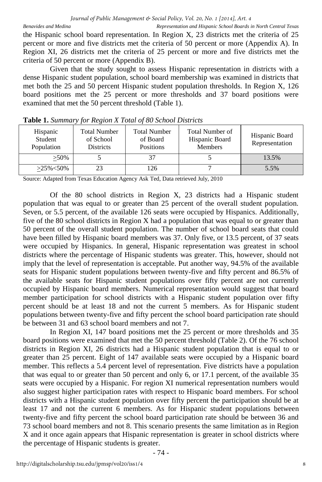the Hispanic school board representation. In Region X, 23 districts met the criteria of 25 percent or more and five districts met the criteria of 50 percent or more (Appendix A). In Region XI, 26 districts met the criteria of 25 percent or more and five districts met the criteria of 50 percent or more (Appendix B).

Given that the study sought to assess Hispanic representation in districts with a dense Hispanic student population, school board membership was examined in districts that met both the 25 and 50 percent Hispanic student population thresholds. In Region X, 126 board positions met the 25 percent or more thresholds and 37 board positions were examined that met the 50 percent threshold (Table 1).

| Hispanic<br>Student<br>Population | Total Number<br>of School<br><b>Districts</b> | <b>Total Number</b><br>of Board<br>Positions | Total Number of<br>Hispanic Board<br><b>Members</b> | Hispanic Board<br>Representation |
|-----------------------------------|-----------------------------------------------|----------------------------------------------|-----------------------------------------------------|----------------------------------|
| $>50\%$                           |                                               | 37                                           |                                                     | 13.5%                            |
| $>25\% < 50\%$                    | 23                                            | 126                                          |                                                     | 5.5%                             |

**Table 1.** *Summary for Region X Total of 80 School Districts*

Source: Adapted from Texas Education Agency Ask Ted, Data retrieved July, 2010

Of the 80 school districts in Region X, 23 districts had a Hispanic student population that was equal to or greater than 25 percent of the overall student population. Seven, or 5.5 percent, of the available 126 seats were occupied by Hispanics. Additionally, five of the 80 school districts in Region X had a population that was equal to or greater than 50 percent of the overall student population. The number of school board seats that could have been filled by Hispanic board members was 37. Only five, or 13.5 percent, of 37 seats were occupied by Hispanics. In general, Hispanic representation was greatest in school districts where the percentage of Hispanic students was greater. This, however, should not imply that the level of representation is acceptable. Put another way, 94.5% of the available seats for Hispanic student populations between twenty-five and fifty percent and 86.5% of the available seats for Hispanic student populations over fifty percent are not currently occupied by Hispanic board members. Numerical representation would suggest that board member participation for school districts with a Hispanic student population over fifty percent should be at least 18 and not the current 5 members. As for Hispanic student populations between twenty-five and fifty percent the school board participation rate should be between 31 and 63 school board members and not 7.

In Region XI, 147 board positions met the 25 percent or more thresholds and 35 board positions were examined that met the 50 percent threshold (Table 2). Of the 76 school districts in Region XI, 26 districts had a Hispanic student population that is equal to or greater than 25 percent. Eight of 147 available seats were occupied by a Hispanic board member. This reflects a 5.4 percent level of representation. Five districts have a population that was equal to or greater than 50 percent and only 6, or 17.1 percent, of the available 35 seats were occupied by a Hispanic. For region XI numerical representation numbers would also suggest higher participation rates with respect to Hispanic board members. For school districts with a Hispanic student population over fifty percent the participation should be at least 17 and not the current 6 members. As for Hispanic student populations between twenty-five and fifty percent the school board participation rate should be between 36 and 73 school board members and not 8. This scenario presents the same limitation as in Region X and it once again appears that Hispanic representation is greater in school districts where the percentage of Hispanic students is greater.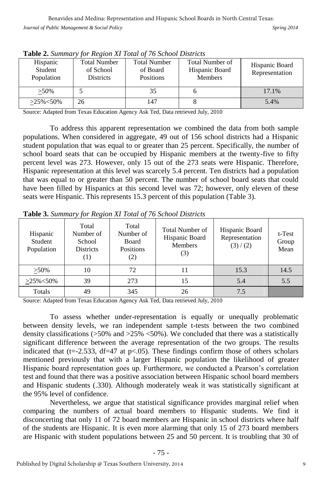*Journal of Public Management & Social Policy Spring 2014* 

| <b>Table 2.</b> Bananary for Region at Tolde of 70 Benove Districts |                                                      |                                                     |                                                     |                                  |  |  |  |
|---------------------------------------------------------------------|------------------------------------------------------|-----------------------------------------------------|-----------------------------------------------------|----------------------------------|--|--|--|
| Hispanic<br>Student<br>Population                                   | <b>Total Number</b><br>of School<br><b>Districts</b> | <b>Total Number</b><br>of Board<br><b>Positions</b> | Total Number of<br>Hispanic Board<br><b>Members</b> | Hispanic Board<br>Representation |  |  |  |
| $>50\%$                                                             |                                                      |                                                     |                                                     | 17.1%                            |  |  |  |
| $>25\% < 50\%$                                                      | 26                                                   | 147                                                 |                                                     | 5.4%                             |  |  |  |

**Table 2.** *Summary for Region XI Total of 76 School Districts*

Source: Adapted from Texas Education Agency Ask Ted, Data retrieved July, 2010

To address this apparent representation we combined the data from both sample populations. When considered in aggregate, 49 out of 156 school districts had a Hispanic student population that was equal to or greater than 25 percent. Specifically, the number of school board seats that can be occupied by Hispanic members at the twenty-five to fifty percent level was 273. However, only 15 out of the 273 seats were Hispanic. Therefore, Hispanic representation at this level was scarcely 5.4 percent. Ten districts had a population that was equal to or greater than 50 percent. The number of school board seats that could have been filled by Hispanics at this second level was 72; however, only eleven of these seats were Hispanic. This represents 15.3 percent of this population (Table 3).

| Hispanic<br>Student<br>Population | Total<br>Number of<br>School<br><b>Districts</b><br>$\left(1\right)$ | Total<br>Number of<br>Board<br>Positions<br>(2) | Total Number of<br>Hispanic Board<br>Members<br>(3) | Hispanic Board<br>Representation<br>(3)/(2) | t-Test<br>Group<br>Mean |
|-----------------------------------|----------------------------------------------------------------------|-------------------------------------------------|-----------------------------------------------------|---------------------------------------------|-------------------------|
| $>50\%$                           | 10                                                                   | 72                                              |                                                     | 15.3                                        | 14.5                    |
| $>25\% < 50\%$                    | 39                                                                   | 273                                             | 15                                                  | 5.4                                         | 5.5                     |
| Totals                            | 49                                                                   | 345                                             | 26                                                  | 7.5                                         |                         |

**Table 3.** *Summary for Region XI Total of 76 School Districts*

Source: Adapted from Texas Education Agency Ask Ted, Data retrieved July, 2010

To assess whether under-representation is equally or unequally problematic between density levels, we ran independent sample t-tests between the two combined density classifications ( $>50\%$  and  $>25\%$  <50%). We concluded that there was a statistically significant difference between the average representation of the two groups. The results indicated that (t=-2.533, df=47 at  $p<.05$ ). These findings confirm those of others scholars mentioned previously that with a larger Hispanic population the likelihood of greater Hispanic board representation goes up. Furthermore, we conducted a Pearson's correlation test and found that there was a positive association between Hispanic school board members and Hispanic students (.330). Although moderately weak it was statistically significant at the 95% level of confidence.

Nevertheless, we argue that statistical significance provides marginal relief when comparing the numbers of actual board members to Hispanic students. We find it disconcerting that only 11 of 72 board members are Hispanic in school districts where half of the students are Hispanic. It is even more alarming that only 15 of 273 board members are Hispanic with student populations between 25 and 50 percent. It is troubling that 30 of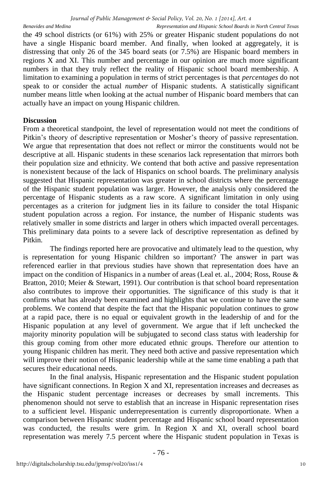the 49 school districts (or 61%) with 25% or greater Hispanic student populations do not have a single Hispanic board member. And finally, when looked at aggregately, it is distressing that only 26 of the 345 board seats (or 7.5%) are Hispanic board members in regions X and XI. This number and percentage in our opinion are much more significant numbers in that they truly reflect the reality of Hispanic school board membership. A limitation to examining a population in terms of strict percentages is that *percentages* do not speak to or consider the actual *number* of Hispanic students. A statistically significant number means little when looking at the actual number of Hispanic board members that can actually have an impact on young Hispanic children.

# **Discussion**

From a theoretical standpoint, the level of representation would not meet the conditions of Pitkin's theory of descriptive representation or Mosher's theory of passive representation. We argue that representation that does not reflect or mirror the constituents would not be descriptive at all. Hispanic students in these scenarios lack representation that mirrors both their population size and ethnicity. We contend that both active and passive representation is nonexistent because of the lack of Hispanics on school boards. The preliminary analysis suggested that Hispanic representation was greater in school districts where the percentage of the Hispanic student population was larger. However, the analysis only considered the percentage of Hispanic students as a raw score. A significant limitation in only using percentages as a criterion for judgment lies in its failure to consider the total Hispanic student population across a region. For instance, the number of Hispanic students was relatively smaller in some districts and larger in others which impacted overall percentages. This preliminary data points to a severe lack of descriptive representation as defined by Pitkin.

The findings reported here are provocative and ultimately lead to the question, why is representation for young Hispanic children so important? The answer in part was referenced earlier in that previous studies have shown that representation does have an impact on the condition of Hispanics in a number of areas (Leal et. al., 2004; Ross, Rouse & Bratton, 2010; Meier & Stewart, 1991). Our contribution is that school board representation also contributes to improve their opportunities. The significance of this study is that it confirms what has already been examined and highlights that we continue to have the same problems. We contend that despite the fact that the Hispanic population continues to grow at a rapid pace, there is no equal or equivalent growth in the leadership of and for the Hispanic population at any level of government. We argue that if left unchecked the majority minority population will be subjugated to second class status with leadership for this group coming from other more educated ethnic groups. Therefore our attention to young Hispanic children has merit. They need both active and passive representation which will improve their notion of Hispanic leadership while at the same time enabling a path that secures their educational needs.

In the final analysis, Hispanic representation and the Hispanic student population have significant connections. In Region X and XI, representation increases and decreases as the Hispanic student percentage increases or decreases by small increments. This phenomenon should not serve to establish that an increase in Hispanic representation rises to a sufficient level. Hispanic underrepresentation is currently disproportionate. When a comparison between Hispanic student percentage and Hispanic school board representation was conducted, the results were grim. In Region X and XI, overall school board representation was merely 7.5 percent where the Hispanic student population in Texas is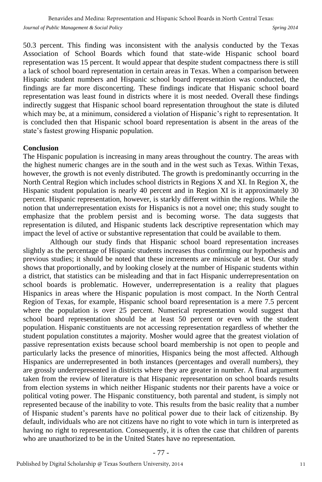50.3 percent. This finding was inconsistent with the analysis conducted by the Texas Association of School Boards which found that state-wide Hispanic school board representation was 15 percent. It would appear that despite student compactness there is still a lack of school board representation in certain areas in Texas. When a comparison between Hispanic student numbers and Hispanic school board representation was conducted, the findings are far more disconcerting. These findings indicate that Hispanic school board representation was least found in districts where it is most needed. Overall these findings indirectly suggest that Hispanic school board representation throughout the state is diluted which may be, at a minimum, considered a violation of Hispanic's right to representation. It is concluded then that Hispanic school board representation is absent in the areas of the state's fastest growing Hispanic population.

#### **Conclusion**

The Hispanic population is increasing in many areas throughout the country. The areas with the highest numeric changes are in the south and in the west such as Texas. Within Texas, however, the growth is not evenly distributed. The growth is predominantly occurring in the North Central Region which includes school districts in Regions X and XI. In Region X, the Hispanic student population is nearly 40 percent and in Region XI is it approximately 30 percent. Hispanic representation, however, is starkly different within the regions. While the notion that underrepresentation exists for Hispanics is not a novel one; this study sought to emphasize that the problem persist and is becoming worse. The data suggests that representation is diluted, and Hispanic students lack descriptive representation which may impact the level of active or substantive representation that could be available to them.

Although our study finds that Hispanic school board representation increases slightly as the percentage of Hispanic students increases thus confirming our hypothesis and previous studies; it should be noted that these increments are miniscule at best. Our study shows that proportionally, and by looking closely at the number of Hispanic students within a district, that statistics can be misleading and that in fact Hispanic underrepresentation on school boards is problematic. However, underrepresentation is a reality that plagues Hispanics in areas where the Hispanic population is most compact. In the North Central Region of Texas, for example, Hispanic school board representation is a mere 7.5 percent where the population is over 25 percent. Numerical representation would suggest that school board representation should be at least 50 percent or even with the student population. Hispanic constituents are not accessing representation regardless of whether the student population constitutes a majority. Mosher would agree that the greatest violation of passive representation exists because school board membership is not open to people and particularly lacks the presence of minorities, Hispanics being the most affected. Although Hispanics are underrepresented in both instances (percentages and overall numbers), they are grossly underrepresented in districts where they are greater in number. A final argument taken from the review of literature is that Hispanic representation on school boards results from election systems in which neither Hispanic students nor their parents have a voice or political voting power. The Hispanic constituency, both parental and student, is simply not represented because of the inability to vote. This results from the basic reality that a number of Hispanic student's parents have no political power due to their lack of citizenship. By default, individuals who are not citizens have no right to vote which in turn is interpreted as having no right to representation. Consequently, it is often the case that children of parents who are unauthorized to be in the United States have no representation.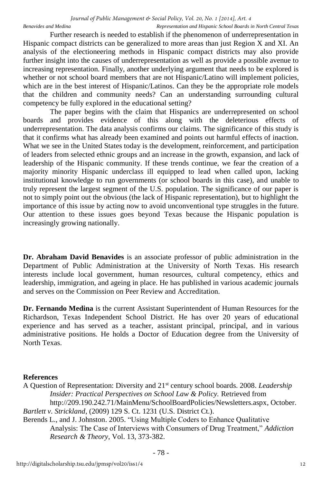Further research is needed to establish if the phenomenon of underrepresentation in Hispanic compact districts can be generalized to more areas than just Region X and XI. An analysis of the electioneering methods in Hispanic compact districts may also provide further insight into the causes of underrepresentation as well as provide a possible avenue to increasing representation. Finally, another underlying argument that needs to be explored is whether or not school board members that are not Hispanic/Latino will implement policies, which are in the best interest of Hispanic/Latinos. Can they be the appropriate role models that the children and community needs? Can an understanding surrounding cultural competency be fully explored in the educational setting?

The paper begins with the claim that Hispanics are underrepresented on school boards and provides evidence of this along with the deleterious effects of underrepresentation. The data analysis confirms our claims. The significance of this study is that it confirms what has already been examined and points out harmful effects of inaction. What we see in the United States today is the development, reinforcement, and participation of leaders from selected ethnic groups and an increase in the growth, expansion, and lack of leadership of the Hispanic community. If these trends continue, we fear the creation of a majority minority Hispanic underclass ill equipped to lead when called upon, lacking institutional knowledge to run governments (or school boards in this case), and unable to truly represent the largest segment of the U.S. population. The significance of our paper is not to simply point out the obvious (the lack of Hispanic representation), but to highlight the importance of this issue by acting now to avoid unconventional type struggles in the future. Our attention to these issues goes beyond Texas because the Hispanic population is increasingly growing nationally.

**Dr. Abraham David Benavides** is an associate professor of public administration in the Department of Public Administration at the University of North Texas. His research interests include local government, human resources, cultural competency, ethics and leadership, immigration, and ageing in place. He has published in various academic journals and serves on the Commission on Peer Review and Accreditation.

**Dr. Fernando Medina** is the current Assistant Superintendent of Human Resources for the Richardson, Texas Independent School District. He has over 20 years of educational experience and has served as a teacher, assistant principal, principal, and in various administrative positions. He holds a Doctor of Education degree from the University of North Texas.

# **References**

- A Question of Representation: Diversity and 21st century school boards. 2008. *Leadership Insider: Practical Perspectives on School Law & Policy.* Retrieved from http://209.190.242.71/MainMenu/SchoolBoardPolicies/Newsletters.aspx, October. *Bartlett v. Strickland*, (2009) 129 S. Ct. 1231 (U.S. District Ct.).
- Berends L., and J. Johnston. 2005. "Using Multiple Coders to Enhance Qualitative Analysis: The Case of Interviews with Consumers of Drug Treatment," *Addiction Research & Theory*, Vol. 13, 373-382.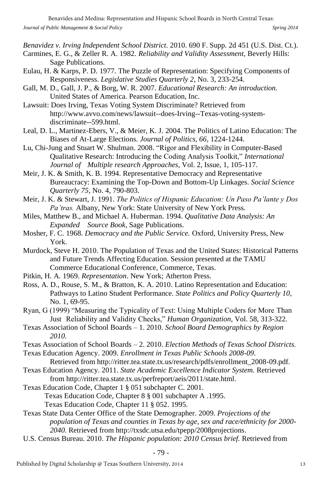*Benavidez v. Irving Independent School District.* 2010. 690 F. Supp. 2d 451 (U.S. Dist. Ct.).

- Carmines, E. G., & Zeller R. A. 1982. *Reliability and Validity Assessment*, Beverly Hills: Sage Publications.
- Eulau, H. & Karps, P. D. 1977. The Puzzle of Representation: Specifying Components of Responsiveness. *Legislative Studies Quarterly 2*, No. 3, 233-254.
- Gall, M. D., Gall, J. P., & Borg, W. R. 2007. *Educational Research: An introduction.* United States of America. Pearson Education, Inc.
- Lawsuit: Does Irving, Texas Voting System Discriminate? Retrieved from http://www.avvo.com/news/lawsuit--does-Irving--Texas-voting-systemdiscriminate--599.html.
- Leal, D. L., Martinez-Ebers, V., & Meier, K. J. 2004. The Politics of Latino Education: The Biases of At-Large Elections. *Journal of Politics, 66*, 1224-1244.
- Lu, Chi-Jung and Stuart W. Shulman. 2008. "Rigor and Flexibility in Computer-Based Qualitative Research: Introducing the Coding Analysis Toolkit," *International Journal of Multiple research Approaches*, Vol. 2, Issue, 1, 105-117.
- Meir, J. K. & Smith, K. B. 1994. Representative Democracy and Representative Bureaucracy: Examining the Top-Down and Bottom-Up Linkages. *Social Science Quarterly 75*, No. 4*,* 790-803.
- Meir, J. K. & Stewart, J. 1991. *The Politics of Hispanic Education: Un Paso Pa'lante y Dos Pa'tras.* Albany, New York: State University of New York Press.
- Miles, Matthew B., and Michael A. Huberman. 1994. *Qualitative Data Analysis: An Expanded Source Book*, Sage Publications.
- Mosher, F. C. 1968. *Democracy and the Public Service.* Oxford, University Press, New York.
- Murdock, Steve H. 2010. The Population of Texas and the United States: Historical Patterns and Future Trends Affecting Education. Session presented at the TAMU Commerce Educational Conference, Commerce, Texas.
- Pitkin, H. A. 1969. *Representation*. New York; Atherton Press.
- Ross, A. D., Rouse, S. M., & Bratton, K. A. 2010. Latino Representation and Education: Pathways to Latino Student Performance. *State Politics and Policy Quarterly 10*, No. 1, 69-95.
- Ryan, G (1999) "Measuring the Typicality of Text: Using Multiple Coders for More Than Just Reliability and Validity Checks," *Human Organization*, Vol. 58, 313-322.
- Texas Association of School Boards 1. 2010. *School Board Demographics by Region 2010.*
- Texas Association of School Boards 2. 2010. *Election Methods of Texas School Districts.*  Texas Education Agency. 2009. *Enrollment in Texas Public Schools 2008-09*.
- Retrieved from http://ritter.tea.state.tx.us/research/pdfs/enrollment\_2008-09.pdf.
- Texas Education Agency. 2011. *State Academic Excellence Indicator System.* Retrieved from http://ritter.tea.state.tx.us/perfreport/aeis/2011/state.html.
- Texas Education Code, Chapter 1 § 051 subchapter C. 2001. Texas Education Code, Chapter 8 § 001 subchapter A .1995. Texas Education Code, Chapter 11 § 052. 1995.
- Texas State Data Center Office of the State Demographer. 2009. *Projections of the population of Texas and counties in Texas by age, sex and race/ethnicity for 2000- 2040.* Retrieved from http://txsdc.utsa.edu/tpepp/2008projections.
- U.S. Census Bureau. 2010. *The Hispanic population: 2010 Census brief.* Retrieved from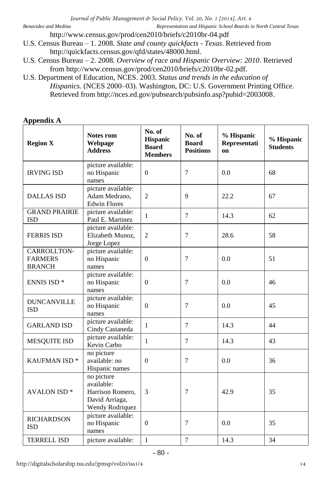http://www.census.gov/prod/cen2010/briefs/c2010br-04.pdf

- U.S. Census Bureau 1. 2008. *State and county quickfacts Texas*. Retrieved from http://quickfacts.census.gov/qfd/states/48000.html.
- U.S. Census Bureau 2. 2008. *Overview of race and Hispanic Overview: 2010*. Retrieved from http://www.census.gov/prod/cen2010/briefs/c2010br-02.pdf.
- U.S. Department of Education, NCES. 2003. *Status and trends in the education of Hispanics.* (NCES 2000–03). Washington, DC: U.S. Government Printing Office. Retrieved from http://nces.ed.gov/pubsearch/pubsinfo.asp?pubid=2003008.

# **Appendix A**

| <b>Region X</b>                                | Notes rom<br>Webpage<br><b>Address</b>                                            | No. of<br><b>Hispanic</b><br><b>Board</b><br><b>Members</b> | No. of<br><b>Board</b><br><b>Positions</b> | % Hispanic<br>Representati<br>on | % Hispanic<br><b>Students</b> |
|------------------------------------------------|-----------------------------------------------------------------------------------|-------------------------------------------------------------|--------------------------------------------|----------------------------------|-------------------------------|
| <b>IRVING ISD</b>                              | picture available:<br>no Hispanic<br>names                                        | $\mathbf{0}$                                                | $\overline{7}$                             | 0.0                              | 68                            |
| <b>DALLAS ISD</b>                              | picture available:<br>Adam Medrano,<br><b>Edwin Flores</b>                        | $\overline{2}$                                              | $\overline{Q}$                             | 22.2                             | 67                            |
| <b>GRAND PRAIRIE</b><br><b>ISD</b>             | picture available:<br>Paul E. Martinez                                            | $\mathbf{1}$                                                | $\overline{7}$                             | 14.3                             | 62                            |
| <b>FERRIS ISD</b>                              | picture available:<br>Elizabeth Munoz,<br>Jorge Lopez                             | 2                                                           | 7                                          | 28.6                             | 58                            |
| CARROLLTON-<br><b>FARMERS</b><br><b>BRANCH</b> | picture available:<br>no Hispanic<br>names                                        | $\theta$                                                    | 7                                          | 0.0                              | 51                            |
| <b>ENNIS ISD*</b>                              | picture available:<br>no Hispanic<br>names                                        | $\mathbf{0}$                                                | 7                                          | 0.0                              | 46                            |
| <b>DUNCANVILLE</b><br><b>ISD</b>               | picture available:<br>no Hispanic<br>names                                        | $\mathbf{0}$                                                | 7                                          | 0.0                              | 45                            |
| <b>GARLAND ISD</b>                             | picture available:<br>Cindy Castaneda                                             | 1                                                           | $\tau$                                     | 14.3                             | 44                            |
| <b>MESQUITE ISD</b>                            | picture available:<br>Kevin Carbo                                                 | $\mathbf{1}$                                                | $\overline{7}$                             | 14.3                             | 43                            |
| <b>KAUFMAN ISD*</b>                            | no picture<br>available: no<br>Hispanic names                                     | $\theta$                                                    | $\overline{7}$                             | 0.0                              | 36                            |
| <b>AVALON ISD*</b>                             | no picture<br>available:<br>Harrison Romero,<br>David Arriaga,<br>Wendy Rodriquez | 3                                                           | 7                                          | 42.9                             | 35                            |
| <b>RICHARDSON</b><br><b>ISD</b>                | picture available:<br>no Hispanic<br>names                                        | $\boldsymbol{0}$                                            | $\overline{7}$                             | 0.0                              | 35                            |
| <b>TERRELL ISD</b>                             | picture available:                                                                | $\mathbf{1}$                                                | $\overline{7}$                             | 14.3                             | 34                            |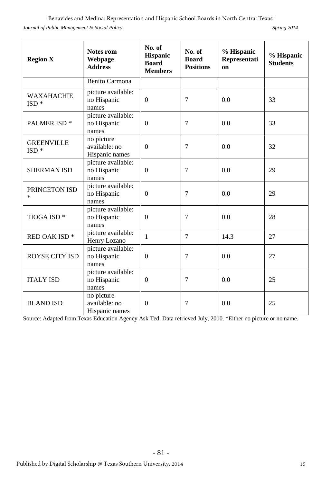*Journal of Public Management & Social Policy* 

| Spring 2014 |  |  |
|-------------|--|--|
|-------------|--|--|

| <b>Region X</b>             | Notes rom<br>Webpage<br><b>Address</b>        | No. of<br>Hispanic<br><b>Board</b><br><b>Members</b> | No. of<br><b>Board</b><br><b>Positions</b> | % Hispanic<br>Representati<br>on | % Hispanic<br><b>Students</b> |
|-----------------------------|-----------------------------------------------|------------------------------------------------------|--------------------------------------------|----------------------------------|-------------------------------|
|                             | <b>Benito Carmona</b>                         |                                                      |                                            |                                  |                               |
| <b>WAXAHACHIE</b><br>$ISD*$ | picture available:<br>no Hispanic<br>names    | $\Omega$                                             | 7                                          | 0.0                              | 33                            |
| <b>PALMER ISD*</b>          | picture available:<br>no Hispanic<br>names    | $\mathbf{0}$                                         | $\overline{7}$                             | 0.0                              | 33                            |
| <b>GREENVILLE</b><br>$ISD*$ | no picture<br>available: no<br>Hispanic names | $\theta$                                             | $\overline{7}$                             | 0.0                              | 32                            |
| <b>SHERMAN ISD</b>          | picture available:<br>no Hispanic<br>names    | $\Omega$                                             | 7                                          | 0.0                              | 29                            |
| PRINCETON ISD<br>$\ast$     | picture available:<br>no Hispanic<br>names    | $\mathbf{0}$                                         | $\overline{7}$                             | 0.0                              | 29                            |
| TIOGA ISD <sup>*</sup>      | picture available:<br>no Hispanic<br>names    | $\theta$                                             | $\overline{7}$                             | 0.0                              | 28                            |
| RED OAK ISD <sup>*</sup>    | picture available:<br>Henry Lozano            | $\mathbf{1}$                                         | $\tau$                                     | 14.3                             | 27                            |
| ROYSE CITY ISD              | picture available:<br>no Hispanic<br>names    | $\theta$                                             | 7                                          | 0.0                              | 27                            |
| <b>ITALY ISD</b>            | picture available:<br>no Hispanic<br>names    | $\mathbf{0}$                                         | $\overline{7}$                             | 0.0                              | 25                            |
| <b>BLAND ISD</b>            | no picture<br>available: no<br>Hispanic names | $\mathbf{0}$                                         | 7                                          | 0.0                              | 25                            |

Source: Adapted from Texas Education Agency Ask Ted, Data retrieved July, 2010. \*Either no picture or no name.

- 81 -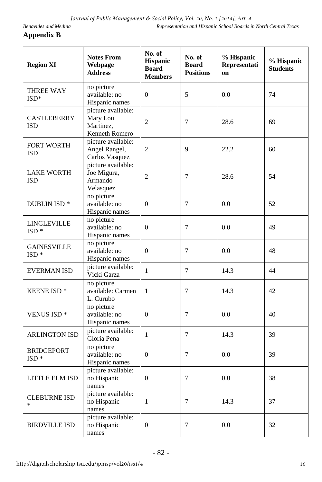# **Appendix B**

| <b>Region XI</b>                 | <b>Notes From</b><br>Webpage<br><b>Address</b>                | No. of<br><b>Hispanic</b><br><b>Board</b><br><b>Members</b> | No. of<br><b>Board</b><br><b>Positions</b> | % Hispanic<br>Representati<br>on | % Hispanic<br><b>Students</b> |
|----------------------------------|---------------------------------------------------------------|-------------------------------------------------------------|--------------------------------------------|----------------------------------|-------------------------------|
| THREE WAY<br>$ISD*$              | no picture<br>available: no<br>Hispanic names                 | $\overline{0}$                                              | 5                                          | 0.0                              | 74                            |
| <b>CASTLEBERRY</b><br><b>ISD</b> | picture available:<br>Mary Lou<br>Martinez,<br>Kenneth Romero | $\overline{c}$                                              | $\overline{7}$                             | 28.6                             | 69                            |
| <b>FORT WORTH</b><br><b>ISD</b>  | picture available:<br>Angel Rangel,<br>Carlos Vasquez         | 2                                                           | 9                                          | 22.2                             | 60                            |
| <b>LAKE WORTH</b><br>ISD         | picture available:<br>Joe Migura,<br>Armando<br>Velasquez     | $\overline{c}$                                              | 7                                          | 28.6                             | 54                            |
| DUBLIN ISD <sup>*</sup>          | no picture<br>available: no<br>Hispanic names                 | $\overline{0}$                                              | $\overline{7}$                             | 0.0                              | 52                            |
| LINGLEVILLE<br>ISD <sup>*</sup>  | no picture<br>available: no<br>Hispanic names                 | $\boldsymbol{0}$                                            | 7                                          | 0.0                              | 49                            |
| <b>GAINESVILLE</b><br>$ISD*$     | no picture<br>available: no<br>Hispanic names                 | $\overline{0}$                                              | $\overline{7}$                             | 0.0                              | 48                            |
| <b>EVERMAN ISD</b>               | picture available:<br>Vicki Garza                             | $\mathbf{1}$                                                | $\overline{7}$                             | 14.3                             | 44                            |
| <b>KEENE ISD*</b>                | no picture<br>available: Carmen<br>L. Curubo                  | $\mathbf{1}$                                                | $\overline{7}$                             | 14.3                             | 42                            |
| <b>VENUS ISD*</b>                | no picture<br>available: no<br>Hispanic names                 | $\overline{0}$                                              | 7                                          | 0.0                              | 40                            |
| <b>ARLINGTON ISD</b>             | picture available:<br>Gloria Pena                             | $\mathbf{1}$                                                | $\overline{7}$                             | 14.3                             | 39                            |
| <b>BRIDGEPORT</b><br>$ISD*$      | no picture<br>available: no<br>Hispanic names                 | $\overline{0}$                                              | 7                                          | 0.0                              | 39                            |
| LITTLE ELM ISD                   | picture available:<br>no Hispanic<br>names                    | $\boldsymbol{0}$                                            | 7                                          | 0.0                              | 38                            |
| <b>CLEBURNE ISD</b><br>$\ast$    | picture available:<br>no Hispanic<br>names                    | $\mathbf{1}$                                                | 7                                          | 14.3                             | 37                            |
| <b>BIRDVILLE ISD</b>             | picture available:<br>no Hispanic<br>names                    | $\boldsymbol{0}$                                            | $\tau$                                     | 0.0                              | 32                            |